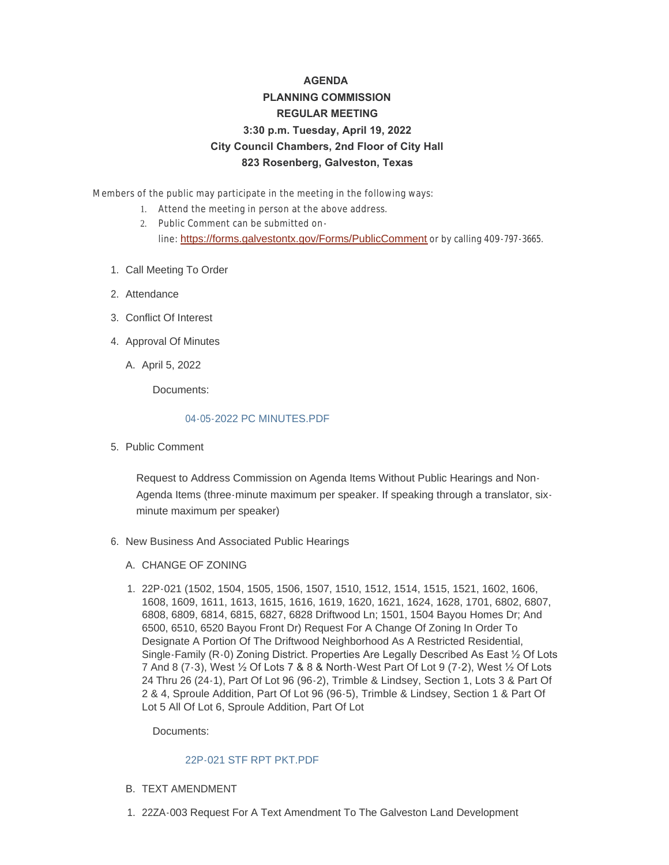# **AGENDA PLANNING COMMISSION REGULAR MEETING 3:30 p.m. Tuesday, April 19, 2022 City Council Chambers, 2nd Floor of City Hall 823 Rosenberg, Galveston, Texas**

Members of the public may participate in the meeting in the following ways:

- 1. Attend the meeting in person at the above address.
- 2. Public Comment can be submitted online: <https://forms.galvestontx.gov/Forms/PublicComment> or by calling 409-797-3665.
- 1. Call Meeting To Order
- 2. Attendance
- Conflict Of Interest 3.
- 4. Approval Of Minutes
	- A. April 5, 2022

Documents:

#### [04-05-2022 PC MINUTES.PDF](https://www.galvestontx.gov/AgendaCenter/ViewFile/Item/14064?fileID=32827)

5. Public Comment

Request to Address Commission on Agenda Items Without Public Hearings and Non-Agenda Items (three-minute maximum per speaker. If speaking through a translator, sixminute maximum per speaker)

- 6. New Business And Associated Public Hearings
	- A. CHANGE OF ZONING
	- 22P-021 (1502, 1504, 1505, 1506, 1507, 1510, 1512, 1514, 1515, 1521, 1602, 1606, 1. 1608, 1609, 1611, 1613, 1615, 1616, 1619, 1620, 1621, 1624, 1628, 1701, 6802, 6807, 6808, 6809, 6814, 6815, 6827, 6828 Driftwood Ln; 1501, 1504 Bayou Homes Dr; And 6500, 6510, 6520 Bayou Front Dr) Request For A Change Of Zoning In Order To Designate A Portion Of The Driftwood Neighborhood As A Restricted Residential, Single-Family (R-0) Zoning District. Properties Are Legally Described As East ½ Of Lots 7 And 8 (7-3), West ½ Of Lots 7 & 8 & North-West Part Of Lot 9 (7-2), West ½ Of Lots 24 Thru 26 (24-1), Part Of Lot 96 (96-2), Trimble & Lindsey, Section 1, Lots 3 & Part Of 2 & 4, Sproule Addition, Part Of Lot 96 (96-5), Trimble & Lindsey, Section 1 & Part Of Lot 5 All Of Lot 6, Sproule Addition, Part Of Lot

Documents:

#### [22P-021 STF RPT PKT.PDF](https://www.galvestontx.gov/AgendaCenter/ViewFile/Item/14051?fileID=32680)

- B. TEXT AMENDMENT
- 22ZA-003 Request For A Text Amendment To The Galveston Land Development 1.